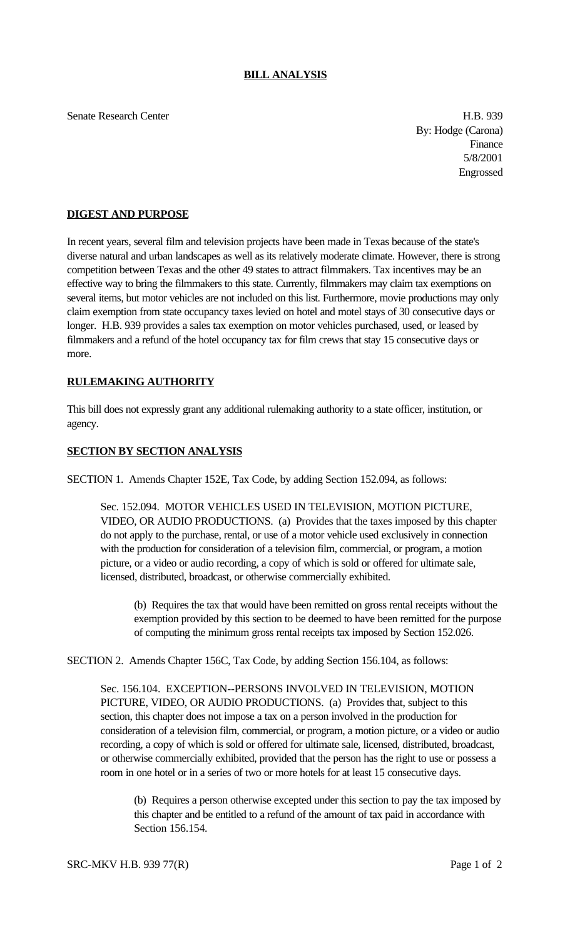Senate Research Center **H.B. 939** 

By: Hodge (Carona) Finance 5/8/2001 Engrossed

## **DIGEST AND PURPOSE**

In recent years, several film and television projects have been made in Texas because of the state's diverse natural and urban landscapes as well as its relatively moderate climate. However, there is strong competition between Texas and the other 49 states to attract filmmakers. Tax incentives may be an effective way to bring the filmmakers to this state. Currently, filmmakers may claim tax exemptions on several items, but motor vehicles are not included on this list. Furthermore, movie productions may only claim exemption from state occupancy taxes levied on hotel and motel stays of 30 consecutive days or longer. H.B. 939 provides a sales tax exemption on motor vehicles purchased, used, or leased by filmmakers and a refund of the hotel occupancy tax for film crews that stay 15 consecutive days or more.

## **RULEMAKING AUTHORITY**

This bill does not expressly grant any additional rulemaking authority to a state officer, institution, or agency.

## **SECTION BY SECTION ANALYSIS**

SECTION 1. Amends Chapter 152E, Tax Code, by adding Section 152.094, as follows:

Sec. 152.094. MOTOR VEHICLES USED IN TELEVISION, MOTION PICTURE, VIDEO, OR AUDIO PRODUCTIONS. (a) Provides that the taxes imposed by this chapter do not apply to the purchase, rental, or use of a motor vehicle used exclusively in connection with the production for consideration of a television film, commercial, or program, a motion picture, or a video or audio recording, a copy of which is sold or offered for ultimate sale, licensed, distributed, broadcast, or otherwise commercially exhibited.

(b) Requires the tax that would have been remitted on gross rental receipts without the exemption provided by this section to be deemed to have been remitted for the purpose of computing the minimum gross rental receipts tax imposed by Section 152.026.

SECTION 2. Amends Chapter 156C, Tax Code, by adding Section 156.104, as follows:

Sec. 156.104. EXCEPTION--PERSONS INVOLVED IN TELEVISION, MOTION PICTURE, VIDEO, OR AUDIO PRODUCTIONS. (a) Provides that, subject to this section, this chapter does not impose a tax on a person involved in the production for consideration of a television film, commercial, or program, a motion picture, or a video or audio recording, a copy of which is sold or offered for ultimate sale, licensed, distributed, broadcast, or otherwise commercially exhibited, provided that the person has the right to use or possess a room in one hotel or in a series of two or more hotels for at least 15 consecutive days.

(b) Requires a person otherwise excepted under this section to pay the tax imposed by this chapter and be entitled to a refund of the amount of tax paid in accordance with Section 156.154.